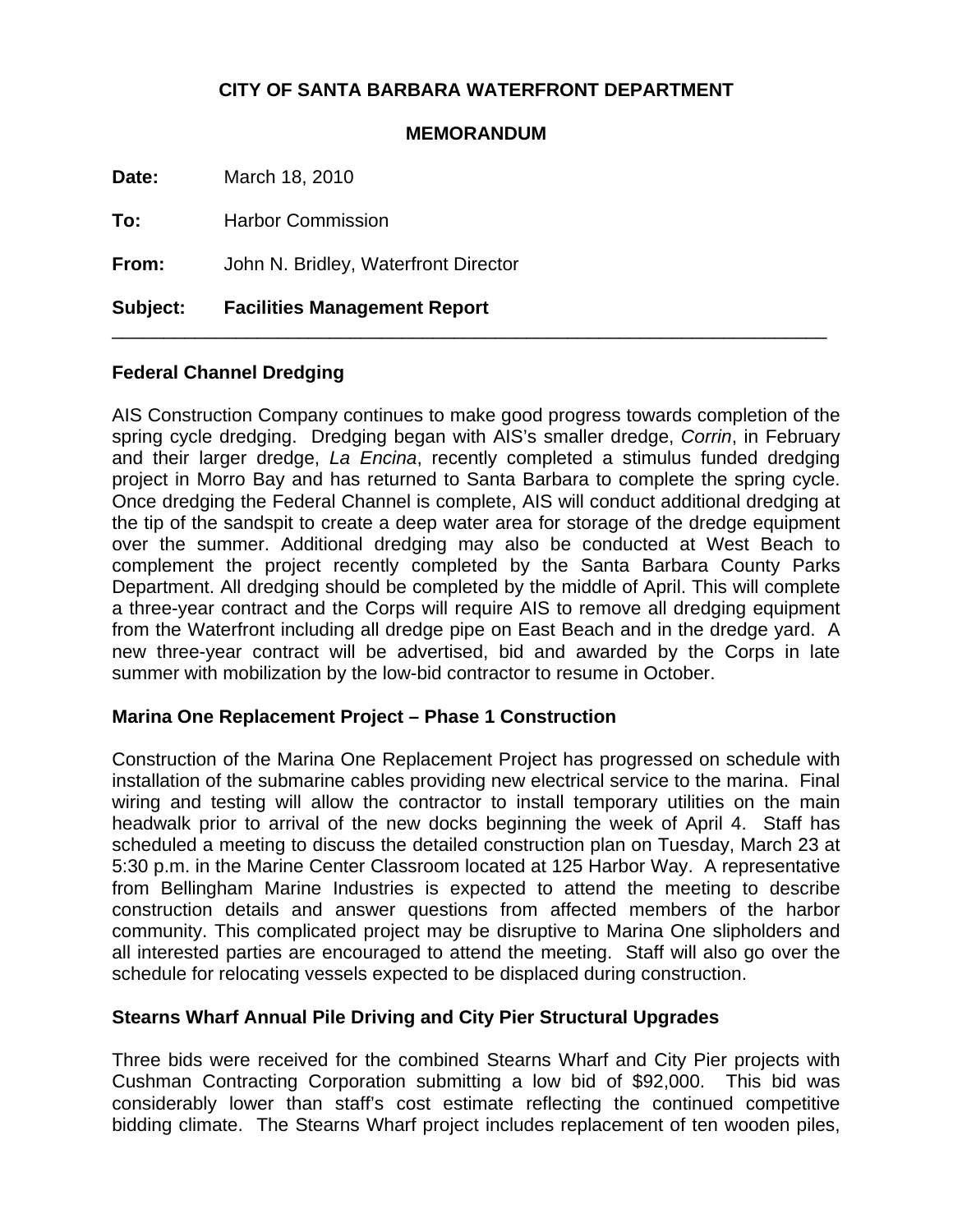# **CITY OF SANTA BARBARA WATERFRONT DEPARTMENT**

### **MEMORANDUM**

\_\_\_\_\_\_\_\_\_\_\_\_\_\_\_\_\_\_\_\_\_\_\_\_\_\_\_\_\_\_\_\_\_\_\_\_\_\_\_\_\_\_\_\_\_\_\_\_\_\_\_\_\_\_\_\_\_\_\_\_\_\_\_\_\_\_\_\_\_

**Date:** March 18, 2010

**To:** Harbor Commission

**From:** John N. Bridley, Waterfront Director

**Subject: Facilities Management Report**

# **Federal Channel Dredging**

AIS Construction Company continues to make good progress towards completion of the spring cycle dredging. Dredging began with AIS's smaller dredge, *Corrin*, in February and their larger dredge, *La Encina*, recently completed a stimulus funded dredging project in Morro Bay and has returned to Santa Barbara to complete the spring cycle. Once dredging the Federal Channel is complete, AIS will conduct additional dredging at the tip of the sandspit to create a deep water area for storage of the dredge equipment over the summer. Additional dredging may also be conducted at West Beach to complement the project recently completed by the Santa Barbara County Parks Department. All dredging should be completed by the middle of April. This will complete a three-year contract and the Corps will require AIS to remove all dredging equipment from the Waterfront including all dredge pipe on East Beach and in the dredge yard. A new three-year contract will be advertised, bid and awarded by the Corps in late summer with mobilization by the low-bid contractor to resume in October.

### **Marina One Replacement Project – Phase 1 Construction**

Construction of the Marina One Replacement Project has progressed on schedule with installation of the submarine cables providing new electrical service to the marina. Final wiring and testing will allow the contractor to install temporary utilities on the main headwalk prior to arrival of the new docks beginning the week of April 4. Staff has scheduled a meeting to discuss the detailed construction plan on Tuesday, March 23 at 5:30 p.m. in the Marine Center Classroom located at 125 Harbor Way. A representative from Bellingham Marine Industries is expected to attend the meeting to describe construction details and answer questions from affected members of the harbor community. This complicated project may be disruptive to Marina One slipholders and all interested parties are encouraged to attend the meeting. Staff will also go over the schedule for relocating vessels expected to be displaced during construction.

# **Stearns Wharf Annual Pile Driving and City Pier Structural Upgrades**

Three bids were received for the combined Stearns Wharf and City Pier projects with Cushman Contracting Corporation submitting a low bid of \$92,000. This bid was considerably lower than staff's cost estimate reflecting the continued competitive bidding climate. The Stearns Wharf project includes replacement of ten wooden piles,